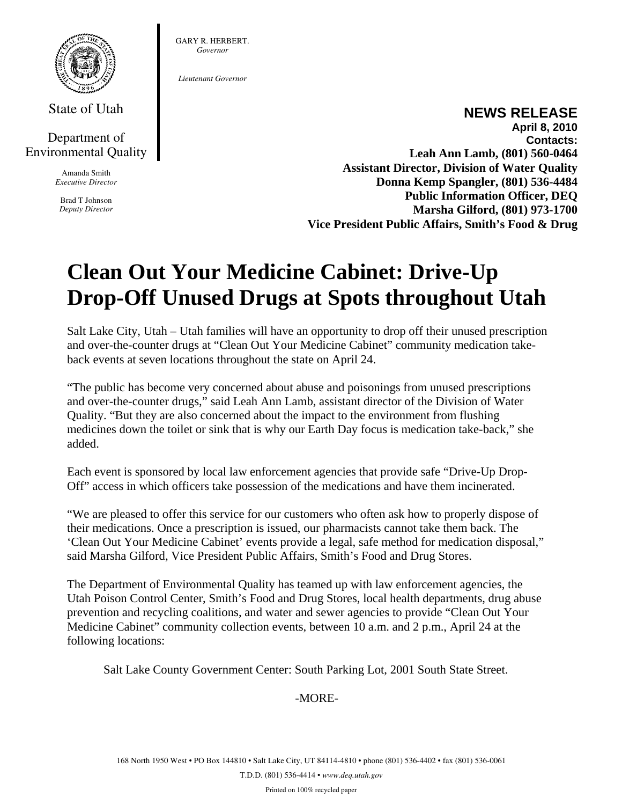

State of Utah

## Department of Environmental Quality

Amanda Smith *Executive Director* 

Brad T Johnson *Deputy Director*  GARY R. HERBERT. *Governor* 

*Lieutenant Governor* 

## **NEWS RELEASE**

**April 8, 2010 Contacts: Leah Ann Lamb, (801) 560-0464 Assistant Director, Division of Water Quality Donna Kemp Spangler, (801) 536-4484 Public Information Officer, DEQ Marsha Gilford, (801) 973-1700 Vice President Public Affairs, Smith's Food & Drug** 

## **Clean Out Your Medicine Cabinet: Drive-Up Drop-Off Unused Drugs at Spots throughout Utah**

Salt Lake City, Utah – Utah families will have an opportunity to drop off their unused prescription and over-the-counter drugs at "Clean Out Your Medicine Cabinet" community medication takeback events at seven locations throughout the state on April 24.

"The public has become very concerned about abuse and poisonings from unused prescriptions and over-the-counter drugs," said Leah Ann Lamb, assistant director of the Division of Water Quality. "But they are also concerned about the impact to the environment from flushing medicines down the toilet or sink that is why our Earth Day focus is medication take-back," she added.

Each event is sponsored by local law enforcement agencies that provide safe "Drive-Up Drop-Off" access in which officers take possession of the medications and have them incinerated.

"We are pleased to offer this service for our customers who often ask how to properly dispose of their medications. Once a prescription is issued, our pharmacists cannot take them back. The 'Clean Out Your Medicine Cabinet' events provide a legal, safe method for medication disposal," said Marsha Gilford, Vice President Public Affairs, Smith's Food and Drug Stores.

The Department of Environmental Quality has teamed up with law enforcement agencies, the Utah Poison Control Center, Smith's Food and Drug Stores, local health departments, drug abuse prevention and recycling coalitions, and water and sewer agencies to provide "Clean Out Your Medicine Cabinet" community collection events, between 10 a.m. and 2 p.m., April 24 at the following locations:

Salt Lake County Government Center: South Parking Lot, 2001 South State Street.

-MORE-

168 North 1950 West • PO Box 144810 • Salt Lake City, UT 84114-4810 • phone (801) 536-4402 • fax (801) 536-0061 T.D.D. (801) 536-4414 • *www.deq.utah.gov*